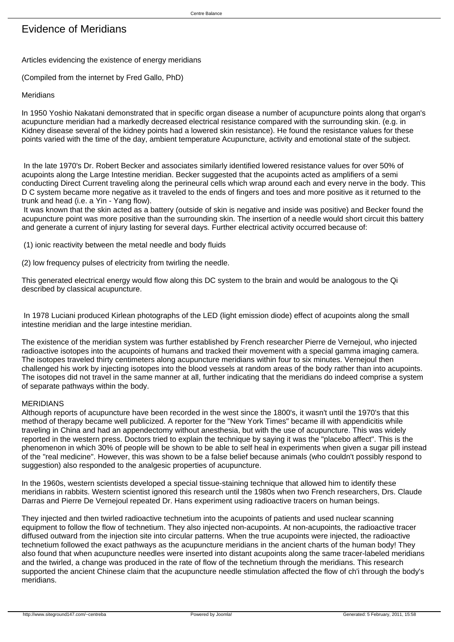# Evidence of Meridians

Articles evidencing the existence of energy meridians

(Compiled from the internet by Fred Gallo, PhD)

### Meridians

In 1950 Yoshio Nakatani demonstrated that in specific organ disease a number of acupuncture points along that organ's acupuncture meridian had a markedly decreased electrical resistance compared with the surrounding skin. (e.g. in Kidney disease several of the kidney points had a lowered skin resistance). He found the resistance values for these points varied with the time of the day, ambient temperature Acupuncture, activity and emotional state of the subject.

 In the late 1970's Dr. Robert Becker and associates similarly identified lowered resistance values for over 50% of acupoints along the Large Intestine meridian. Becker suggested that the acupoints acted as amplifiers of a semi conducting Direct Current traveling along the perineural cells which wrap around each and every nerve in the body. This D C system became more negative as it traveled to the ends of fingers and toes and more positive as it returned to the trunk and head (i.e. a Yin - Yang flow).

 It was known that the skin acted as a battery (outside of skin is negative and inside was positive) and Becker found the acupuncture point was more positive than the surrounding skin. The insertion of a needle would short circuit this battery and generate a current of injury lasting for several days. Further electrical activity occurred because of:

(1) ionic reactivity between the metal needle and body fluids

(2) low frequency pulses of electricity from twirling the needle.

This generated electrical energy would flow along this DC system to the brain and would be analogous to the Qi described by classical acupuncture.

 In 1978 Luciani produced Kirlean photographs of the LED (light emission diode) effect of acupoints along the small intestine meridian and the large intestine meridian.

The existence of the meridian system was further established by French researcher Pierre de Vernejoul, who injected radioactive isotopes into the acupoints of humans and tracked their movement with a special gamma imaging camera. The isotopes traveled thirty centimeters along acupuncture meridians within four to six minutes. Vernejoul then challenged his work by injecting isotopes into the blood vessels at random areas of the body rather than into acupoints. The isotopes did not travel in the same manner at all, further indicating that the meridians do indeed comprise a system of separate pathways within the body.

#### MERIDIANS

Although reports of acupuncture have been recorded in the west since the 1800's, it wasn't until the 1970's that this method of therapy became well publicized. A reporter for the "New York Times" became ill with appendicitis while traveling in China and had an appendectomy without anesthesia, but with the use of acupuncture. This was widely reported in the western press. Doctors tried to explain the technique by saying it was the "placebo affect". This is the phenomenon in which 30% of people will be shown to be able to self heal in experiments when given a sugar pill instead of the "real medicine". However, this was shown to be a false belief because animals (who couldn't possibly respond to suggestion) also responded to the analgesic properties of acupuncture.

In the 1960s, western scientists developed a special tissue-staining technique that allowed him to identify these meridians in rabbits. Western scientist ignored this research until the 1980s when two French researchers, Drs. Claude Darras and Pierre De Vernejoul repeated Dr. Hans experiment using radioactive tracers on human beings.

They injected and then twirled radioactive technetium into the acupoints of patients and used nuclear scanning equipment to follow the flow of technetium. They also injected non-acupoints. At non-acupoints, the radioactive tracer diffused outward from the injection site into circular patterns. When the true acupoints were injected, the radioactive technetium followed the exact pathways as the acupuncture meridians in the ancient charts of the human body! They also found that when acupuncture needles were inserted into distant acupoints along the same tracer-labeled meridians and the twirled, a change was produced in the rate of flow of the technetium through the meridians. This research supported the ancient Chinese claim that the acupuncture needle stimulation affected the flow of ch'i through the body's meridians.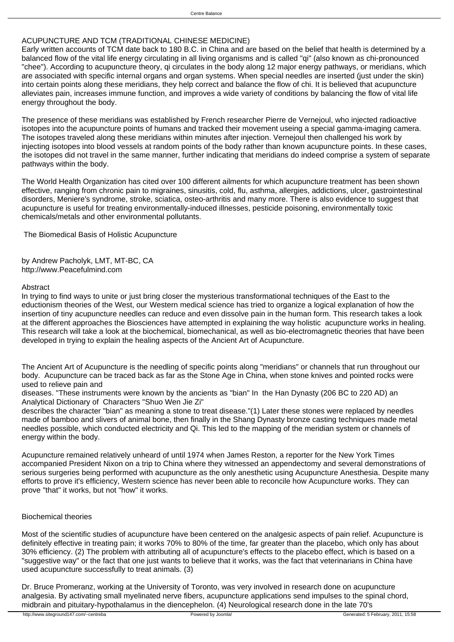# ACUPUNCTURE AND TCM (TRADITIONAL CHINESE MEDICINE)

Early written accounts of TCM date back to 180 B.C. in China and are based on the belief that health is determined by a balanced flow of the vital life energy circulating in all living organisms and is called "qi" (also known as chi-pronounced "chee"). According to acupuncture theory, qi circulates in the body along 12 major energy pathways, or meridians, which are associated with specific internal organs and organ systems. When special needles are inserted (just under the skin) into certain points along these meridians, they help correct and balance the flow of chi. It is believed that acupuncture alleviates pain, increases immune function, and improves a wide variety of conditions by balancing the flow of vital life energy throughout the body.

The presence of these meridians was established by French researcher Pierre de Vernejoul, who injected radioactive isotopes into the acupuncture points of humans and tracked their movement useing a special gamma-imaging camera. The isotopes traveled along these meridians within minutes after injection. Vernejoul then challenged his work by injecting isotopes into blood vessels at random points of the body rather than known acupuncture points. In these cases, the isotopes did not travel in the same manner, further indicating that meridians do indeed comprise a system of separate pathways within the body.

The World Health Organization has cited over 100 different ailments for which acupuncture treatment has been shown effective, ranging from chronic pain to migraines, sinusitis, cold, flu, asthma, allergies, addictions, ulcer, gastrointestinal disorders, Meniere's syndrome, stroke, sciatica, osteo-arthritis and many more. There is also evidence to suggest that acupuncture is useful for treating environmentally-induced illnesses, pesticide poisoning, environmentally toxic chemicals/metals and other environmental pollutants.

The Biomedical Basis of Holistic Acupuncture

by Andrew Pacholyk, LMT, MT-BC, CA http://www.Peacefulmind.com

# Abstract

In trying to find ways to unite or just bring closer the mysterious transformational techniques of the East to the eductionism theories of the West, our Western medical science has tried to organize a logical explanation of how the insertion of tiny acupuncture needles can reduce and even dissolve pain in the human form. This research takes a look at the different approaches the Biosciences have attempted in explaining the way holistic acupuncture works in healing. This research will take a look at the biochemical, biomechanical, as well as bio-electromagnetic theories that have been developed in trying to explain the healing aspects of the Ancient Art of Acupuncture.

The Ancient Art of Acupuncture is the needling of specific points along "meridians" or channels that run throughout our body. Acupuncture can be traced back as far as the Stone Age in China, when stone knives and pointed rocks were used to relieve pain and

diseases. "These instruments were known by the ancients as "bian" In the Han Dynasty (206 BC to 220 AD) an Analytical Dictionary of Characters "Shuo Wen Jie Zi"

describes the character "bian" as meaning a stone to treat disease."(1) Later these stones were replaced by needles made of bamboo and slivers of animal bone, then finally in the Shang Dynasty bronze casting techniques made metal needles possible, which conducted electricity and Qi. This led to the mapping of the meridian system or channels of energy within the body.

Acupuncture remained relatively unheard of until 1974 when James Reston, a reporter for the New York Times accompanied President Nixon on a trip to China where they witnessed an appendectomy and several demonstrations of serious surgeries being performed with acupuncture as the only anesthetic using Acupuncture Anesthesia. Despite many efforts to prove it's efficiency, Western science has never been able to reconcile how Acupuncture works. They can prove "that" it works, but not "how" it works.

# Biochemical theories

Most of the scientific studies of acupuncture have been centered on the analgesic aspects of pain relief. Acupuncture is definitely effective in treating pain; it works 70% to 80% of the time, far greater than the placebo, which only has about 30% efficiency. (2) The problem with attributing all of acupuncture's effects to the placebo effect, which is based on a "suggestive way" or the fact that one just wants to believe that it works, was the fact that veterinarians in China have used acupuncture successfully to treat animals. (3)

Dr. Bruce Promeranz, working at the University of Toronto, was very involved in research done on acupuncture analgesia. By activating small myelinated nerve fibers, acupuncture applications send impulses to the spinal chord, midbrain and pituitary-hypothalamus in the diencephelon. (4) Neurological research done in the late 70's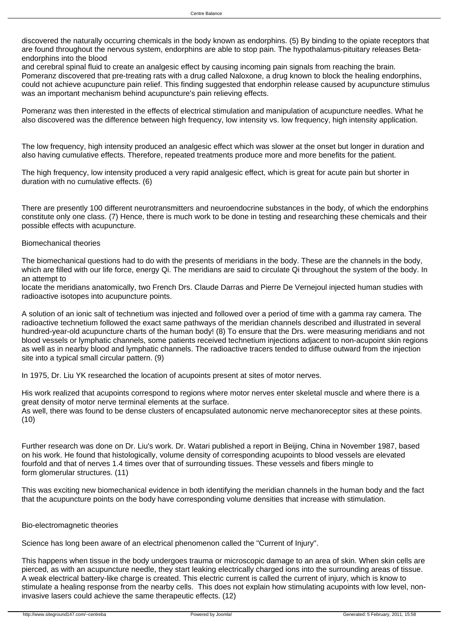discovered the naturally occurring chemicals in the body known as endorphins. (5) By binding to the opiate receptors that are found throughout the nervous system, endorphins are able to stop pain. The hypothalamus-pituitary releases Betaendorphins into the blood

and cerebral spinal fluid to create an analgesic effect by causing incoming pain signals from reaching the brain. Pomeranz discovered that pre-treating rats with a drug called Naloxone, a drug known to block the healing endorphins, could not achieve acupuncture pain relief. This finding suggested that endorphin release caused by acupuncture stimulus was an important mechanism behind acupuncture's pain relieving effects.

Pomeranz was then interested in the effects of electrical stimulation and manipulation of acupuncture needles. What he also discovered was the difference between high frequency, low intensity vs. low frequency, high intensity application.

The low frequency, high intensity produced an analgesic effect which was slower at the onset but longer in duration and also having cumulative effects. Therefore, repeated treatments produce more and more benefits for the patient.

The high frequency, low intensity produced a very rapid analgesic effect, which is great for acute pain but shorter in duration with no cumulative effects. (6)

There are presently 100 different neurotransmitters and neuroendocrine substances in the body, of which the endorphins constitute only one class. (7) Hence, there is much work to be done in testing and researching these chemicals and their possible effects with acupuncture.

# Biomechanical theories

The biomechanical questions had to do with the presents of meridians in the body. These are the channels in the body, which are filled with our life force, energy Qi. The meridians are said to circulate Qi throughout the system of the body. In an attempt to

locate the meridians anatomically, two French Drs. Claude Darras and Pierre De Vernejoul injected human studies with radioactive isotopes into acupuncture points.

A solution of an ionic salt of technetium was injected and followed over a period of time with a gamma ray camera. The radioactive technetium followed the exact same pathways of the meridian channels described and illustrated in several hundred-year-old acupuncture charts of the human body! (8) To ensure that the Drs. were measuring meridians and not blood vessels or lymphatic channels, some patients received technetium injections adjacent to non-acupoint skin regions as well as in nearby blood and lymphatic channels. The radioactive tracers tended to diffuse outward from the injection site into a typical small circular pattern. (9)

In 1975, Dr. Liu YK researched the location of acupoints present at sites of motor nerves.

His work realized that acupoints correspond to regions where motor nerves enter skeletal muscle and where there is a great density of motor nerve terminal elements at the surface.

As well, there was found to be dense clusters of encapsulated autonomic nerve mechanoreceptor sites at these points. (10)

Further research was done on Dr. Liu's work. Dr. Watari published a report in Beijing, China in November 1987, based on his work. He found that histologically, volume density of corresponding acupoints to blood vessels are elevated fourfold and that of nerves 1.4 times over that of surrounding tissues. These vessels and fibers mingle to form glomerular structures. (11)

This was exciting new biomechanical evidence in both identifying the meridian channels in the human body and the fact that the acupuncture points on the body have corresponding volume densities that increase with stimulation.

# Bio-electromagnetic theories

Science has long been aware of an electrical phenomenon called the "Current of Injury".

This happens when tissue in the body undergoes trauma or microscopic damage to an area of skin. When skin cells are pierced, as with an acupuncture needle, they start leaking electrically charged ions into the surrounding areas of tissue. A weak electrical battery-like charge is created. This electric current is called the current of injury, which is know to stimulate a healing response from the nearby cells. This does not explain how stimulating acupoints with low level, noninvasive lasers could achieve the same therapeutic effects. (12)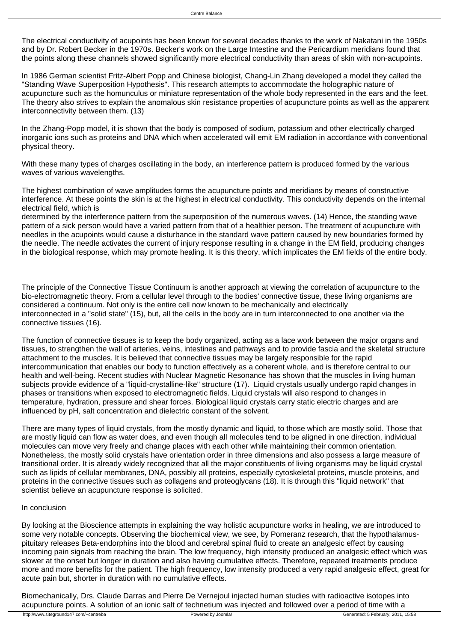The electrical conductivity of acupoints has been known for several decades thanks to the work of Nakatani in the 1950s and by Dr. Robert Becker in the 1970s. Becker's work on the Large Intestine and the Pericardium meridians found that the points along these channels showed significantly more electrical conductivity than areas of skin with non-acupoints.

In 1986 German scientist Fritz-Albert Popp and Chinese biologist, Chang-Lin Zhang developed a model they called the "Standing Wave Superposition Hypothesis". This research attempts to accommodate the holographic nature of acupuncture such as the homunculus or miniature representation of the whole body represented in the ears and the feet. The theory also strives to explain the anomalous skin resistance properties of acupuncture points as well as the apparent interconnectivity between them. (13)

In the Zhang-Popp model, it is shown that the body is composed of sodium, potassium and other electrically charged inorganic ions such as proteins and DNA which when accelerated will emit EM radiation in accordance with conventional physical theory.

With these many types of charges oscillating in the body, an interference pattern is produced formed by the various waves of various wavelengths.

The highest combination of wave amplitudes forms the acupuncture points and meridians by means of constructive interference. At these points the skin is at the highest in electrical conductivity. This conductivity depends on the internal electrical field, which is

determined by the interference pattern from the superposition of the numerous waves. (14) Hence, the standing wave pattern of a sick person would have a varied pattern from that of a healthier person. The treatment of acupuncture with needles in the acupoints would cause a disturbance in the standard wave pattern caused by new boundaries formed by the needle. The needle activates the current of injury response resulting in a change in the EM field, producing changes in the biological response, which may promote healing. It is this theory, which implicates the EM fields of the entire body.

The principle of the Connective Tissue Continuum is another approach at viewing the correlation of acupuncture to the bio-electromagnetic theory. From a cellular level through to the bodies' connective tissue, these living organisms are considered a continuum. Not only is the entire cell now known to be mechanically and electrically interconnected in a "solid state" (15), but, all the cells in the body are in turn interconnected to one another via the connective tissues (16).

The function of connective tissues is to keep the body organized, acting as a lace work between the major organs and tissues, to strengthen the wall of arteries, veins, intestines and pathways and to provide fascia and the skeletal structure attachment to the muscles. It is believed that connective tissues may be largely responsible for the rapid intercommunication that enables our body to function effectively as a coherent whole, and is therefore central to our health and well-being. Recent studies with Nuclear Magnetic Resonance has shown that the muscles in living human subjects provide evidence of a "liquid-crystalline-like" structure (17). Liquid crystals usually undergo rapid changes in phases or transitions when exposed to electromagnetic fields. Liquid crystals will also respond to changes in temperature, hydration, pressure and shear forces. Biological liquid crystals carry static electric charges and are influenced by pH, salt concentration and dielectric constant of the solvent.

There are many types of liquid crystals, from the mostly dynamic and liquid, to those which are mostly solid. Those that are mostly liquid can flow as water does, and even though all molecules tend to be aligned in one direction, individual molecules can move very freely and change places with each other while maintaining their common orientation. Nonetheless, the mostly solid crystals have orientation order in three dimensions and also possess a large measure of transitional order. It is already widely recognized that all the major constituents of living organisms may be liquid crystal such as lipids of cellular membranes, DNA, possibly all proteins, especially cytoskeletal proteins, muscle proteins, and proteins in the connective tissues such as collagens and proteoglycans (18). It is through this "liquid network" that scientist believe an acupuncture response is solicited.

### In conclusion

By looking at the Bioscience attempts in explaining the way holistic acupuncture works in healing, we are introduced to some very notable concepts. Observing the biochemical view, we see, by Pomeranz research, that the hypothalamuspituitary releases Beta-endorphins into the blood and cerebral spinal fluid to create an analgesic effect by causing incoming pain signals from reaching the brain. The low frequency, high intensity produced an analgesic effect which was slower at the onset but longer in duration and also having cumulative effects. Therefore, repeated treatments produce more and more benefits for the patient. The high frequency, low intensity produced a very rapid analgesic effect, great for acute pain but, shorter in duration with no cumulative effects.

Biomechanically, Drs. Claude Darras and Pierre De Vernejoul injected human studies with radioactive isotopes into acupuncture points. A solution of an ionic salt of technetium was injected and followed over a period of time with a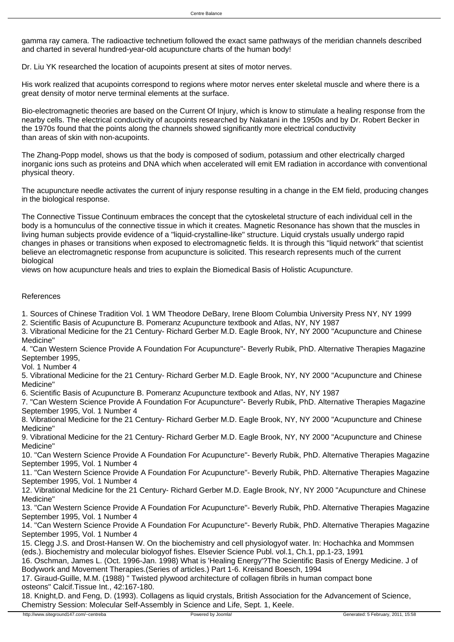gamma ray camera. The radioactive technetium followed the exact same pathways of the meridian channels described and charted in several hundred-year-old acupuncture charts of the human body!

Dr. Liu YK researched the location of acupoints present at sites of motor nerves.

His work realized that acupoints correspond to regions where motor nerves enter skeletal muscle and where there is a great density of motor nerve terminal elements at the surface.

Bio-electromagnetic theories are based on the Current Of Injury, which is know to stimulate a healing response from the nearby cells. The electrical conductivity of acupoints researched by Nakatani in the 1950s and by Dr. Robert Becker in the 1970s found that the points along the channels showed significantly more electrical conductivity than areas of skin with non-acupoints.

The Zhang-Popp model, shows us that the body is composed of sodium, potassium and other electrically charged inorganic ions such as proteins and DNA which when accelerated will emit EM radiation in accordance with conventional physical theory.

The acupuncture needle activates the current of injury response resulting in a change in the EM field, producing changes in the biological response.

The Connective Tissue Continuum embraces the concept that the cytoskeletal structure of each individual cell in the body is a homunculus of the connective tissue in which it creates. Magnetic Resonance has shown that the muscles in living human subjects provide evidence of a "liquid-crystalline-like" structure. Liquid crystals usually undergo rapid changes in phases or transitions when exposed to electromagnetic fields. It is through this "liquid network" that scientist believe an electromagnetic response from acupuncture is solicited. This research represents much of the current biological

views on how acupuncture heals and tries to explain the Biomedical Basis of Holistic Acupuncture.

# References

1. Sources of Chinese Tradition Vol. 1 WM Theodore DeBary, Irene Bloom Columbia University Press NY, NY 1999

2. Scientific Basis of Acupuncture B. Pomeranz Acupuncture textbook and Atlas, NY, NY 1987

3. Vibrational Medicine for the 21 Century- Richard Gerber M.D. Eagle Brook, NY, NY 2000 "Acupuncture and Chinese Medicine"

4. "Can Western Science Provide A Foundation For Acupuncture"- Beverly Rubik, PhD. Alternative Therapies Magazine September 1995,

Vol. 1 Number 4

5. Vibrational Medicine for the 21 Century- Richard Gerber M.D. Eagle Brook, NY, NY 2000 "Acupuncture and Chinese Medicine"

6. Scientific Basis of Acupuncture B. Pomeranz Acupuncture textbook and Atlas, NY, NY 1987

7. "Can Western Science Provide A Foundation For Acupuncture"- Beverly Rubik, PhD. Alternative Therapies Magazine September 1995, Vol. 1 Number 4

8. Vibrational Medicine for the 21 Century- Richard Gerber M.D. Eagle Brook, NY, NY 2000 "Acupuncture and Chinese Medicine"

9. Vibrational Medicine for the 21 Century- Richard Gerber M.D. Eagle Brook, NY, NY 2000 "Acupuncture and Chinese Medicine"

10. "Can Western Science Provide A Foundation For Acupuncture"- Beverly Rubik, PhD. Alternative Therapies Magazine September 1995, Vol. 1 Number 4

11. "Can Western Science Provide A Foundation For Acupuncture"- Beverly Rubik, PhD. Alternative Therapies Magazine September 1995, Vol. 1 Number 4

12. Vibrational Medicine for the 21 Century- Richard Gerber M.D. Eagle Brook, NY, NY 2000 "Acupuncture and Chinese Medicine"

13. "Can Western Science Provide A Foundation For Acupuncture"- Beverly Rubik, PhD. Alternative Therapies Magazine September 1995, Vol. 1 Number 4

14. "Can Western Science Provide A Foundation For Acupuncture"- Beverly Rubik, PhD. Alternative Therapies Magazine September 1995, Vol. 1 Number 4

15. Clegg J.S. and Drost-Hansen W. On the biochemistry and cell physiologyof water. In: Hochachka and Mommsen (eds.). Biochemistry and molecular biologyof fishes. Elsevier Science Publ. vol.1, Ch.1, pp.1-23, 1991

16. Oschman, James L. (Oct. 1996-Jan. 1998) What is 'Healing Energy'?The Scientific Basis of Energy Medicine. J of Bodywork and Movement Therapies.(Series of articles.) Part 1-6. Kreisand Boesch, 1994

17. Giraud-Guille, M.M. (1988) " Twisted plywood architecture of collagen fibrils in human compact bone osteons" Calcif.Tissue Int., 42:167-180.

18. Knight,D. and Feng, D. (1993). Collagens as liquid crystals, British Association for the Advancement of Science, Chemistry Session: Molecular Self-Assembly in Science and Life, Sept. 1, Keele.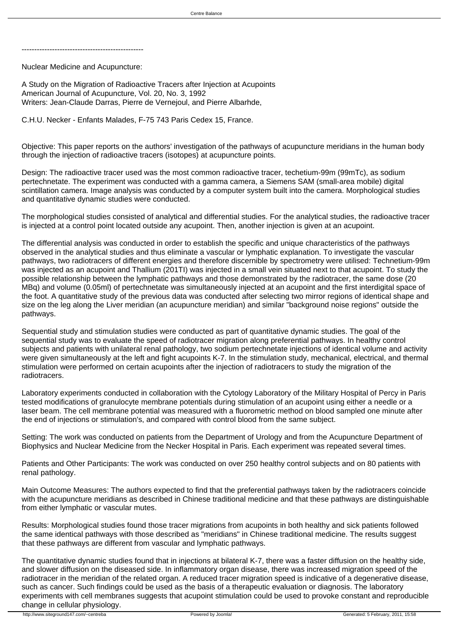------------------------------------------------

Nuclear Medicine and Acupuncture:

A Study on the Migration of Radioactive Tracers after Injection at Acupoints American Journal of Acupuncture, Vol. 20, No. 3, 1992 Writers: Jean-Claude Darras, Pierre de Vernejoul, and Pierre Albarhde,

C.H.U. Necker - Enfants Malades, F-75 743 Paris Cedex 15, France.

Objective: This paper reports on the authors' investigation of the pathways of acupuncture meridians in the human body through the injection of radioactive tracers (isotopes) at acupuncture points.

Design: The radioactive tracer used was the most common radioactive tracer, techetium-99m (99mTc), as sodium pertechnetate. The experiment was conducted with a gamma camera, a Siemens SAM (small-area mobile) digital scintillation camera. Image analysis was conducted by a computer system built into the camera. Morphological studies and quantitative dynamic studies were conducted.

The morphological studies consisted of analytical and differential studies. For the analytical studies, the radioactive tracer is injected at a control point located outside any acupoint. Then, another injection is given at an acupoint.

The differential analysis was conducted in order to establish the specific and unique characteristics of the pathways observed in the analytical studies and thus eliminate a vascular or lymphatic explanation. To investigate the vascular pathways, two radiotracers of different energies and therefore discernible by spectrometry were utilised: Technetium-99m was injected as an acupoint and Thallium (201TI) was injected in a small vein situated next to that acupoint. To study the possible relationship between the lymphatic pathways and those demonstrated by the radiotracer, the same dose (20 MBq) and volume (0.05ml) of pertechnetate was simultaneously injected at an acupoint and the first interdigital space of the foot. A quantitative study of the previous data was conducted after selecting two mirror regions of identical shape and size on the leg along the Liver meridian (an acupuncture meridian) and similar "background noise regions" outside the pathways.

Sequential study and stimulation studies were conducted as part of quantitative dynamic studies. The goal of the sequential study was to evaluate the speed of radiotracer migration along preferential pathways. In healthy control subjects and patients with unilateral renal pathology, two sodium pertechnetate injections of identical volume and activity were given simultaneously at the left and fight acupoints K-7. In the stimulation study, mechanical, electrical, and thermal stimulation were performed on certain acupoints after the injection of radiotracers to study the migration of the radiotracers.

Laboratory experiments conducted in collaboration with the Cytology Laboratory of the Military Hospital of Percy in Paris tested modifications of granulocyte membrane potentials during stimulation of an acupoint using either a needle or a laser beam. The cell membrane potential was measured with a fluorometric method on blood sampled one minute after the end of injections or stimulation's, and compared with control blood from the same subject.

Setting: The work was conducted on patients from the Department of Urology and from the Acupuncture Department of Biophysics and Nuclear Medicine from the Necker Hospital in Paris. Each experiment was repeated several times.

Patients and Other Participants: The work was conducted on over 250 healthy control subjects and on 80 patients with renal pathology.

Main Outcome Measures: The authors expected to find that the preferential pathways taken by the radiotracers coincide with the acupuncture meridians as described in Chinese traditional medicine and that these pathways are distinguishable from either lymphatic or vascular mutes.

Results: Morphological studies found those tracer migrations from acupoints in both healthy and sick patients followed the same identical pathways with those described as "meridians" in Chinese traditional medicine. The results suggest that these pathways are different from vascular and lymphatic pathways.

The quantitative dynamic studies found that in injections at bilateral K-7, there was a faster diffusion on the healthy side, and slower diffusion on the diseased side. In inflammatory organ disease, there was increased migration speed of the radiotracer in the meridian of the related organ. A reduced tracer migration speed is indicative of a degenerative disease, such as cancer. Such findings could be used as the basis of a therapeutic evaluation or diagnosis. The laboratory experiments with cell membranes suggests that acupoint stimulation could be used to provoke constant and reproducible change in cellular physiology.